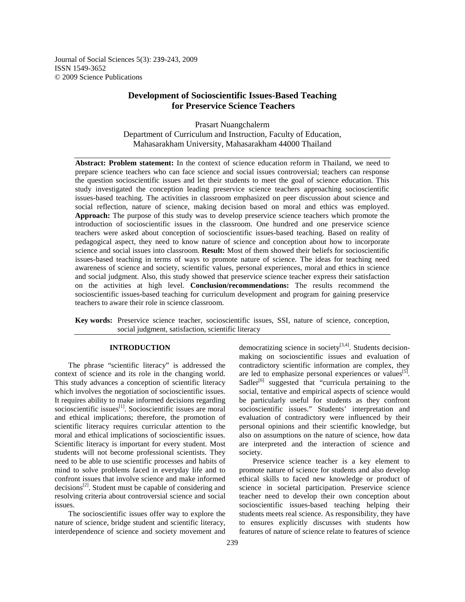Journal of Social Sciences 5(3): 239-243, 2009 ISSN 1549-3652 © 2009 Science Publications

# **Development of Socioscientific Issues-Based Teaching for Preservice Science Teachers**

Prasart Nuangchalerm Department of Curriculum and Instruction, Faculty of Education, Mahasarakham University, Mahasarakham 44000 Thailand

**Abstract: Problem statement:** In the context of science education reform in Thailand, we need to prepare science teachers who can face science and social issues controversial; teachers can response the question socioscientific issues and let their students to meet the goal of science education. This study investigated the conception leading preservice science teachers approaching socioscientific issues-based teaching. The activities in classroom emphasized on peer discussion about science and social reflection, nature of science, making decision based on moral and ethics was employed. **Approach:** The purpose of this study was to develop preservice science teachers which promote the introduction of socioscientific issues in the classroom. One hundred and one preservice science teachers were asked about conception of socioscientific issues-based teaching. Based on reality of pedagogical aspect, they need to know nature of science and conception about how to incorporate science and social issues into classroom. **Result:** Most of them showed their beliefs for socioscientific issues-based teaching in terms of ways to promote nature of science. The ideas for teaching need awareness of science and society, scientific values, personal experiences, moral and ethics in science and social judgment. Also, this study showed that preservice science teacher express their satisfaction on the activities at high level. **Conclusion/recommendations:** The results recommend the socioscientific issues-based teaching for curriculum development and program for gaining preservice teachers to aware their role in science classroom.

**Key words:** Preservice science teacher, socioscientific issues, SSI, nature of science, conception, social judgment, satisfaction, scientific literacy

# **INTRODUCTION**

 The phrase "scientific literacy" is addressed the context of science and its role in the changing world. This study advances a conception of scientific literacy which involves the negotiation of socioscientific issues. It requires ability to make informed decisions regarding socioscientific issues<sup>[1]</sup>. Socioscientific issues are moral and ethical implications; therefore, the promotion of scientific literacy requires curricular attention to the moral and ethical implications of socioscientific issues. Scientific literacy is important for every student. Most students will not become professional scientists. They need to be able to use scientific processes and habits of mind to solve problems faced in everyday life and to confront issues that involve science and make informed decisions<sup>[2]</sup>. Student must be capable of considering and resolving criteria about controversial science and social issues.

 The socioscientific issues offer way to explore the nature of science, bridge student and scientific literacy, interdependence of science and society movement and

democratizing science in society<sup>[3,4]</sup>. Students decisionmaking on socioscientific issues and evaluation of contradictory scientific information are complex, they are led to emphasize personal experiences or values<sup>[5]</sup>. Sadler<sup>[6]</sup> suggested that "curricula pertaining to the social, tentative and empirical aspects of science would be particularly useful for students as they confront socioscientific issues." Students' interpretation and evaluation of contradictory were influenced by their personal opinions and their scientific knowledge, but also on assumptions on the nature of science, how data are interpreted and the interaction of science and society.

 Preservice science teacher is a key element to promote nature of science for students and also develop ethical skills to faced new knowledge or product of science in societal participation. Preservice science teacher need to develop their own conception about socioscientific issues-based teaching helping their students meets real science. As responsibility, they have to ensures explicitly discusses with students how features of nature of science relate to features of science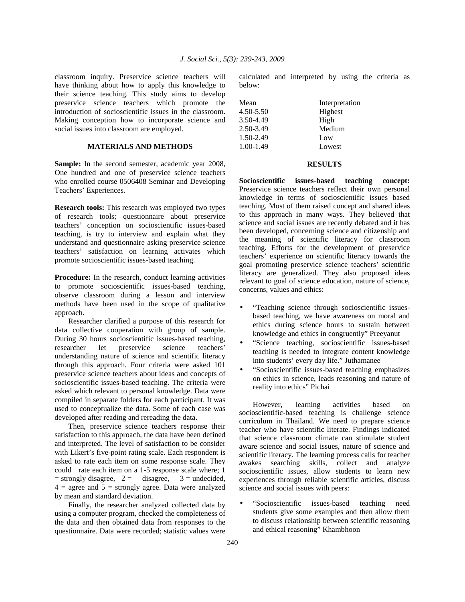classroom inquiry. Preservice science teachers will have thinking about how to apply this knowledge to their science teaching. This study aims to develop preservice science teachers which promote the introduction of socioscientific issues in the classroom. Making conception how to incorporate science and social issues into classroom are employed.

# **MATERIALS AND METHODS**

**Sample:** In the second semester, academic year 2008, One hundred and one of preservice science teachers who enrolled course 0506408 Seminar and Developing Teachers' Experiences.

**Research tools:** This research was employed two types of research tools; questionnaire about preservice teachers' conception on socioscientific issues-based teaching, is try to interview and explain what they understand and questionnaire asking preservice science teachers' satisfaction on learning activates which promote socioscientific issues-based teaching.

**Procedure:** In the research, conduct learning activities to promote socioscientific issues-based teaching, observe classroom during a lesson and interview methods have been used in the scope of qualitative approach.

 Researcher clarified a purpose of this research for data collective cooperation with group of sample. During 30 hours socioscientific issues-based teaching, researcher let preservice science teachers' understanding nature of science and scientific literacy through this approach. Four criteria were asked 101 preservice science teachers about ideas and concepts of socioscientific issues-based teaching. The criteria were asked which relevant to personal knowledge. Data were compiled in separate folders for each participant. It was used to conceptualize the data. Some of each case was developed after reading and rereading the data.

 Then, preservice science teachers response their satisfaction to this approach, the data have been defined and interpreted. The level of satisfaction to be consider with Likert's five-point rating scale. Each respondent is asked to rate each item on some response scale. They could rate each item on a 1-5 response scale where; 1  $=$  strongly disagree,  $2 =$  disagree,  $3 =$  undecided,  $4 = \text{agree}$  and  $5 = \text{strongly agree}$ . Data were analyzed by mean and standard deviation.

 Finally, the researcher analyzed collected data by using a computer program, checked the completeness of the data and then obtained data from responses to the questionnaire. Data were recorded; statistic values were

calculated and interpreted by using the criteria as below:

| Mean          | Interpretation |
|---------------|----------------|
| $4.50 - 5.50$ | Highest        |
| 3.50-4.49     | High           |
| 2.50-3.49     | Medium         |
| 1.50-2.49     | Low            |
| $1.00 - 1.49$ | Lowest         |

### **RESULTS**

**Socioscientific issues-based teaching concept:**  Preservice science teachers reflect their own personal knowledge in terms of socioscientific issues based teaching. Most of them raised concept and shared ideas to this approach in many ways. They believed that science and social issues are recently debated and it has been developed, concerning science and citizenship and the meaning of scientific literacy for classroom teaching. Efforts for the development of preservice teachers' experience on scientific literacy towards the goal promoting preservice science teachers' scientific literacy are generalized. They also proposed ideas relevant to goal of science education, nature of science, concerns, values and ethics:

- "Teaching science through socioscientific issuesbased teaching, we have awareness on moral and ethics during science hours to sustain between knowledge and ethics in congruently" Preeyanut
- "Science teaching, socioscientific issues-based teaching is needed to integrate content knowledge into students' every day life." Juthamanee
- "Socioscientific issues-based teaching emphasizes on ethics in science, leads reasoning and nature of reality into ethics" Pichai

 However, learning activities based on socioscientific-based teaching is challenge science curriculum in Thailand. We need to prepare science teacher who have scientific literate. Findings indicated that science classroom climate can stimulate student aware science and social issues, nature of science and scientific literacy. The learning process calls for teacher awakes searching skills, collect and analyze socioscientific issues, allow students to learn new experiences through reliable scientific articles, discuss science and social issues with peers:

• "Socioscientific issues-based teaching need students give some examples and then allow them to discuss relationship between scientific reasoning and ethical reasoning" Khambhoon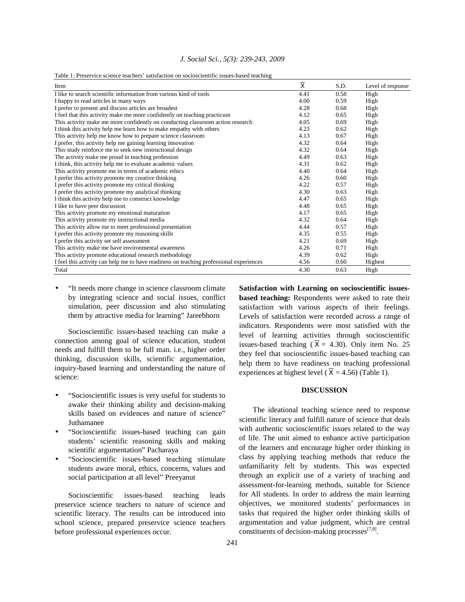|  |  |  |  | J. Social Sci., 5(3): 239-243, 2009 |  |
|--|--|--|--|-------------------------------------|--|
|--|--|--|--|-------------------------------------|--|

|  |  | Table 1: Preservice science teachers' satisfaction on socioscientific issues-based teaching |  |  |  |
|--|--|---------------------------------------------------------------------------------------------|--|--|--|
|  |  |                                                                                             |  |  |  |

| Item                                                                                    | $\overline{\textbf{X}}$ | S.D. | Level of response |
|-----------------------------------------------------------------------------------------|-------------------------|------|-------------------|
| I like to search scientific information from various kind of tools                      | 4.41                    | 0.58 | High              |
| I happy to read articles in many ways                                                   | 4.00                    | 0.59 | High              |
| I prefer to present and discuss articles are broadest                                   | 4.28                    | 0.68 | High              |
| I feel that this activity make me more confidently on teaching practicum                | 4.12                    | 0.65 | High              |
| This activity make me more confidently on conducting classroom action research          | 4.05                    | 0.69 | High              |
| I think this activity help me learn how to make empathy with others                     | 4.23                    | 0.62 | High              |
| This activity help me know how to prepare science classroom                             | 4.13                    | 0.67 | High              |
| I prefer, this activity help me gaining learning innovation                             | 4.32                    | 0.64 | High              |
| This study reinforce me to seek new instructional design                                | 4.32                    | 0.64 | High              |
| The activity make me proud in teaching profession                                       | 4.49                    | 0.63 | High              |
| I think, this activity help me to evaluate academic values                              | 4.31                    | 0.62 | High              |
| This activity promote me in terms of academic ethics                                    | 4.40                    | 0.64 | High              |
| I prefer this activity promote my creative thinking                                     | 4.26                    | 0.60 | High              |
| I prefer this activity promote my critical thinking                                     | 4.22                    | 0.57 | High              |
| I prefer this activity promote my analytical thinking                                   | 4.30                    | 0.63 | High              |
| I think this activity help me to construct knowledge                                    | 4.47                    | 0.65 | High              |
| I like to have peer discussion                                                          | 4.48                    | 0.65 | High              |
| This activity promote my emotional maturation                                           | 4.17                    | 0.65 | High              |
| This activity promote my instructional media                                            | 4.32                    | 0.64 | High              |
| This activity allow me to meet professional presentation                                | 4.44                    | 0.57 | High              |
| I prefer this activity promote my reasoning skills                                      | 4.35                    | 0.55 | High              |
| I prefer this activity set self assessment                                              | 4.21                    | 0.69 | High              |
| This activity make me have environmental awareness                                      | 4.26                    | 0.71 | High              |
| This activity promote educational research methodology                                  | 4.39                    | 0.62 | High              |
| I feel this activity can help me to have readiness on teaching professional experiences | 4.56                    | 0.60 | Highest           |
| Total                                                                                   | 4.30                    | 0.63 | High              |

• "It needs more change in science classroom climate by integrating science and social issues, conflict simulation, peer discussion and also stimulating them by attractive media for learning" Jareebhorn

 Socioscientific issues-based teaching can make a connection among goal of science education, student needs and fulfill them to be full man. i.e., higher order thinking, discussion skills, scientific argumentation, inquiry-based learning and understanding the nature of science:

- "Socioscientific issues is very useful for students to awake their thinking ability and decision-making skills based on evidences and nature of science" Juthamanee
- "Socioscientific issues-based teaching can gain students' scientific reasoning skills and making scientific argumentation" Pacharaya
- "Socioscientific issues-based teaching stimulate students aware moral, ethics, concerns, values and social participation at all level" Preeyanut

 Socioscientific issues-based teaching leads preservice science teachers to nature of science and scientific literacy. The results can be introduced into school science, prepared preservice science teachers before professional experiences occur.

**Satisfaction with Learning on socioscientific issuesbased teaching:** Respondents were asked to rate their satisfaction with various aspects of their feelings. Levels of satisfaction were recorded across a range of indicators. Respondents were most satisfied with the level of learning activities through socioscientific issues-based teaching ( $\overline{X}$  = 4.30). Only item No. 25 they feel that socioscientific issues-based teaching can help them to have readiness on teaching professional experiences at highest level ( $\overline{X}$  = 4.56) (Table 1).

### **DISCUSSION**

 The ideational teaching science need to response scientific literacy and fulfill nature of science that deals with authentic socioscientific issues related to the way of life. The unit aimed to enhance active participation of the learners and encourage higher order thinking in class by applying teaching methods that reduce the unfamiliarity felt by students. This was expected through an explicit use of a variety of teaching and assessment-for-learning methods, suitable for Science for All students. In order to address the main learning objectives, we monitored students' performances in tasks that required the higher order thinking skills of argumentation and value judgment, which are central constituents of decision-making processes $^{[7,8]}$ .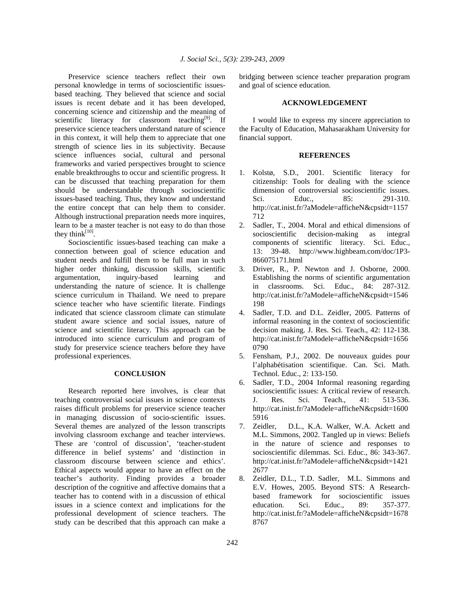Preservice science teachers reflect their own personal knowledge in terms of socioscientific issuesbased teaching. They believed that science and social issues is recent debate and it has been developed, concerning science and citizenship and the meaning of scientific literacy for classroom teaching<sup>[9]</sup>. If preservice science teachers understand nature of science in this context, it will help them to appreciate that one strength of science lies in its subjectivity. Because science influences social, cultural and personal frameworks and varied perspectives brought to science enable breakthroughs to occur and scientific progress. It can be discussed that teaching preparation for them should be understandable through socioscientific issues-based teaching. Thus, they know and understand the entire concept that can help them to consider. Although instructional preparation needs more inquires, learn to be a master teacher is not easy to do than those they think $^{[10]}$ .

 Socioscientific issues-based teaching can make a connection between goal of science education and student needs and fulfill them to be full man in such higher order thinking, discussion skills, scientific argumentation, inquiry-based learning and understanding the nature of science. It is challenge science curriculum in Thailand. We need to prepare science teacher who have scientific literate. Findings indicated that science classroom climate can stimulate student aware science and social issues, nature of science and scientific literacy. This approach can be introduced into science curriculum and program of study for preservice science teachers before they have professional experiences.

### **CONCLUSION**

 Research reported here involves, is clear that teaching controversial social issues in science contexts raises difficult problems for preservice science teacher in managing discussion of socio-scientific issues. Several themes are analyzed of the lesson transcripts involving classroom exchange and teacher interviews. These are 'control of discussion', 'teacher-student difference in belief systems' and 'distinction in classroom discourse between science and ethics'. Ethical aspects would appear to have an effect on the teacher's authority. Finding provides a broader description of the cognitive and affective domains that a teacher has to contend with in a discussion of ethical issues in a science context and implications for the professional development of science teachers. The study can be described that this approach can make a

bridging between science teacher preparation program and goal of science education.

#### **ACKNOWLEDGEMENT**

 I would like to express my sincere appreciation to the Faculty of Education, Mahasarakham University for financial support.

## **REFERENCES**

- 1. Kolstø, S.D., 2001. Scientific literacy for citizenship: Tools for dealing with the science dimension of controversial socioscientific issues. Sci. Educ., 85: 291-310. http://cat.inist.fr/?aModele=afficheN&cpsidt=1157 712
- 2. Sadler, T., 2004. Moral and ethical dimensions of socioscientific decision-making as integral components of scientific literacy. Sci. Educ., 13: 39-48. http://www.highbeam.com/doc/1P3- 866075171.html
- 3. Driver, R., P. Newton and J. Osborne, 2000. Establishing the norms of scientific argumentation in classrooms. Sci. Educ., 84: 287-312. http://cat.inist.fr/?aModele=afficheN&cpsidt=1546 198
- 4. Sadler, T.D. and D.L. Zeidler, 2005. Patterns of informal reasoning in the context of socioscientific decision making. J. Res. Sci. Teach., 42: 112-138. http://cat.inist.fr/?aModele=afficheN&cpsidt=1656 0790
- 5. Fensham, P.J., 2002. De nouveaux guides pour l'alphabétisation scientifique. Can. Sci. Math. Technol. Educ., 2: 133-150.
- 6. Sadler, T.D., 2004 Informal reasoning regarding socioscientific issues: A critical review of research. J. Res. Sci. Teach., 41: 513-536. http://cat.inist.fr/?aModele=afficheN&cpsidt=1600 5916
- 7. Zeidler, D.L., K.A. Walker, W.A. Ackett and M.L. Simmons, 2002. Tangled up in views: Beliefs in the nature of science and responses to socioscientific dilemmas. Sci. Educ., 86: 343-367. http://cat.inist.fr/?aModele=afficheN&cpsidt=1421 2677
- 8. Zeidler, D.L., T.D. Sadler, M.L. Simmons and E.V. Howes, 2005. Beyond STS: A Researchbased framework for socioscientific issues education. Sci. Educ., 89: 357-377. http://cat.inist.fr/?aModele=afficheN&cpsidt=1678 8767